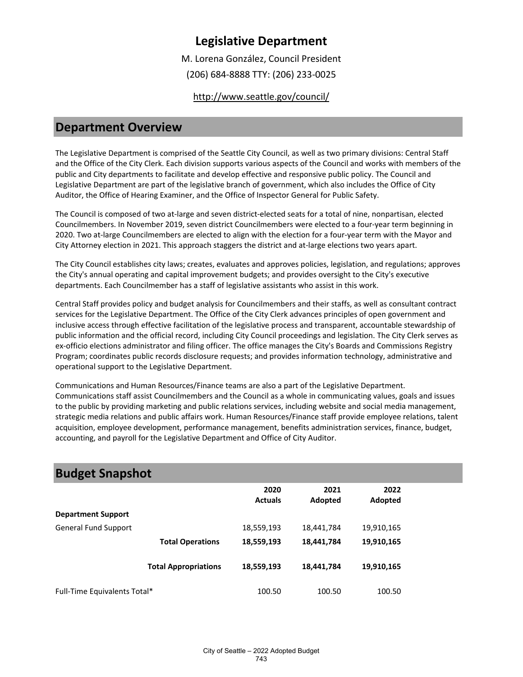M. Lorena González, Council President

(206) 684-8888 TTY: (206) 233-0025

<http://www.seattle.gov/council/>

### **Department Overview**

The Legislative Department is comprised of the Seattle City Council, as well as two primary divisions: Central Staff and the Office of the City Clerk. Each division supports various aspects of the Council and works with members of the public and City departments to facilitate and develop effective and responsive public policy. The Council and Legislative Department are part of the legislative branch of government, which also includes the Office of City Auditor, the Office of Hearing Examiner, and the Office of Inspector General for Public Safety.

The Council is composed of two at-large and seven district-elected seats for a total of nine, nonpartisan, elected Councilmembers. In November 2019, seven district Councilmembers were elected to a four-year term beginning in 2020. Two at-large Councilmembers are elected to align with the election for a four-year term with the Mayor and City Attorney election in 2021. This approach staggers the district and at-large elections two years apart.

The City Council establishes city laws; creates, evaluates and approves policies, legislation, and regulations; approves the City's annual operating and capital improvement budgets; and provides oversight to the City's executive departments. Each Councilmember has a staff of legislative assistants who assist in this work.

Central Staff provides policy and budget analysis for Councilmembers and their staffs, as well as consultant contract services for the Legislative Department. The Office of the City Clerk advances principles of open government and inclusive access through effective facilitation of the legislative process and transparent, accountable stewardship of public information and the official record, including City Council proceedings and legislation. The City Clerk serves as ex-officio elections administrator and filing officer. The office manages the City's Boards and Commissions Registry Program; coordinates public records disclosure requests; and provides information technology, administrative and operational support to the Legislative Department.

Communications and Human Resources/Finance teams are also a part of the Legislative Department. Communications staff assist Councilmembers and the Council as a whole in communicating values, goals and issues to the public by providing marketing and public relations services, including website and social media management, strategic media relations and public affairs work. Human Resources/Finance staff provide employee relations, talent acquisition, employee development, performance management, benefits administration services, finance, budget, accounting, and payroll for the Legislative Department and Office of City Auditor.

| <b>Budget Snapshot</b>       |                             |                        |                 |                 |  |
|------------------------------|-----------------------------|------------------------|-----------------|-----------------|--|
|                              |                             | 2020<br><b>Actuals</b> | 2021<br>Adopted | 2022<br>Adopted |  |
| <b>Department Support</b>    |                             |                        |                 |                 |  |
| <b>General Fund Support</b>  |                             | 18,559,193             | 18,441,784      | 19,910,165      |  |
|                              | <b>Total Operations</b>     | 18,559,193             | 18,441,784      | 19,910,165      |  |
|                              | <b>Total Appropriations</b> | 18,559,193             | 18,441,784      | 19,910,165      |  |
| Full-Time Equivalents Total* |                             | 100.50                 | 100.50          | 100.50          |  |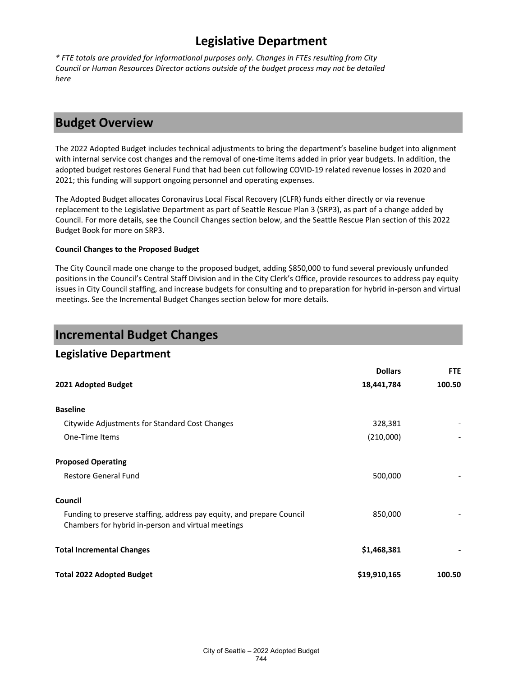*\* FTE totals are provided for informational purposes only. Changes in FTEs resulting from City Council or Human Resources Director actions outside of the budget process may not be detailed here*

# **Budget Overview**

The 2022 Adopted Budget includes technical adjustments to bring the department's baseline budget into alignment with internal service cost changes and the removal of one-time items added in prior year budgets. In addition, the adopted budget restores General Fund that had been cut following COVID-19 related revenue losses in 2020 and 2021; this funding will support ongoing personnel and operating expenses.

The Adopted Budget allocates Coronavirus Local Fiscal Recovery (CLFR) funds either directly or via revenue replacement to the Legislative Department as part of Seattle Rescue Plan 3 (SRP3), as part of a change added by Council. For more details, see the Council Changes section below, and the Seattle Rescue Plan section of this 2022 Budget Book for more on SRP3.

### **Council Changes to the Proposed Budget**

The City Council made one change to the proposed budget, adding \$850,000 to fund several previously unfunded positions in the Council's Central Staff Division and in the City Clerk's Office, provide resources to address pay equity issues in City Council staffing, and increase budgets for consulting and to preparation for hybrid in-person and virtual meetings. See the Incremental Budget Changes section below for more details.

### **Incremental Budget Changes**

### **Legislative Department**

|                                                                                                                             | <b>Dollars</b> | <b>FTE</b> |
|-----------------------------------------------------------------------------------------------------------------------------|----------------|------------|
| 2021 Adopted Budget                                                                                                         | 18,441,784     | 100.50     |
| <b>Baseline</b>                                                                                                             |                |            |
| Citywide Adjustments for Standard Cost Changes                                                                              | 328,381        |            |
| One-Time Items                                                                                                              | (210,000)      |            |
| <b>Proposed Operating</b>                                                                                                   |                |            |
| <b>Restore General Fund</b>                                                                                                 | 500,000        |            |
| Council                                                                                                                     |                |            |
| Funding to preserve staffing, address pay equity, and prepare Council<br>Chambers for hybrid in-person and virtual meetings | 850,000        |            |
| <b>Total Incremental Changes</b>                                                                                            | \$1,468,381    |            |
| <b>Total 2022 Adopted Budget</b>                                                                                            | \$19,910,165   | 100.50     |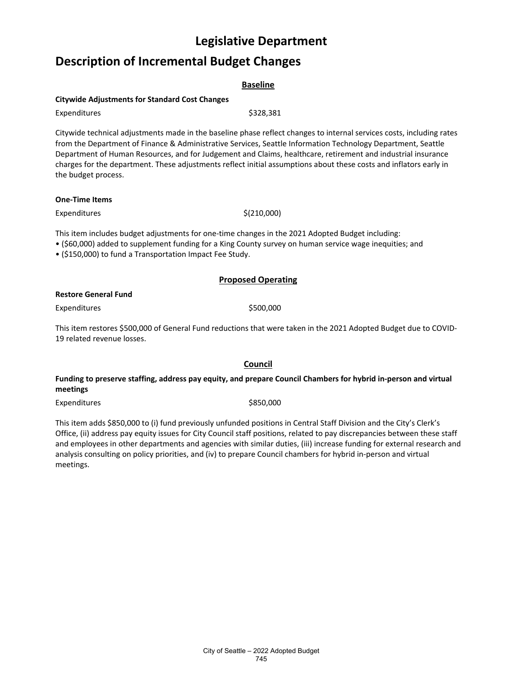# **Description of Incremental Budget Changes**

| <b>Citywide Adjustments for Standard Cost Changes</b> |                                                                                                                                                                                                                                       |  |  |  |
|-------------------------------------------------------|---------------------------------------------------------------------------------------------------------------------------------------------------------------------------------------------------------------------------------------|--|--|--|
| Expenditures                                          | \$328,381                                                                                                                                                                                                                             |  |  |  |
|                                                       | Citywide technical adjustments made in the baseline phase reflect changes to internal services costs, including rates<br>from the Department of Finance & Administrative Services, Seattle Information Technology Department, Seattle |  |  |  |
| the budget process.                                   | Department of Human Resources, and for Judgement and Claims, healthcare, retirement and industrial insurance<br>charges for the department. These adjustments reflect initial assumptions about these costs and inflators early in    |  |  |  |

#### **One-Time Items**

 $\text{Expenditures}$  \$(210,000)

This item includes budget adjustments for one-time changes in the 2021 Adopted Budget including:

• (\$60,000) added to supplement funding for a King County survey on human service wage inequities; and

• (\$150,000) to fund a Transportation Impact Fee Study.

### **Proposed Operating**

### **Restore General Fund**

Expenditures \$500,000

This item restores \$500,000 of General Fund reductions that were taken in the 2021 Adopted Budget due to COVID-19 related revenue losses.

### **Council**

### **Funding to preserve staffing, address pay equity, and prepare Council Chambers for hybrid in-person and virtual meetings**

Expenditures \$850,000

This item adds \$850,000 to (i) fund previously unfunded positions in Central Staff Division and the City's Clerk's Office, (ii) address pay equity issues for City Council staff positions, related to pay discrepancies between these staff and employees in other departments and agencies with similar duties, (iii) increase funding for external research and analysis consulting on policy priorities, and (iv) to prepare Council chambers for hybrid in-person and virtual meetings.

**Baseline**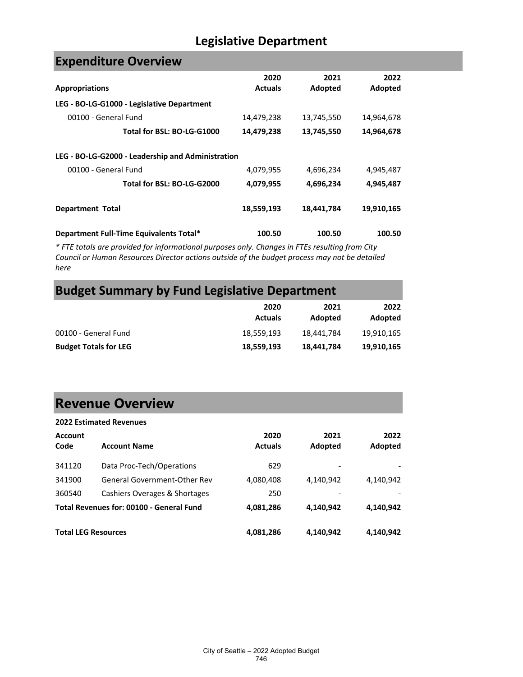# **Expenditure Overview**

| <b>Appropriations</b>                             | 2020<br><b>Actuals</b> | 2021<br>Adopted | 2022<br>Adopted |
|---------------------------------------------------|------------------------|-----------------|-----------------|
| LEG - BO-LG-G1000 - Legislative Department        |                        |                 |                 |
| 00100 - General Fund                              | 14,479,238             | 13,745,550      | 14,964,678      |
| Total for BSL: BO-LG-G1000                        | 14,479,238             | 13,745,550      | 14,964,678      |
| LEG - BO-LG-G2000 - Leadership and Administration |                        |                 |                 |
| 00100 - General Fund                              | 4,079,955              | 4,696,234       | 4,945,487       |
| Total for BSL: BO-LG-G2000                        | 4,079,955              | 4,696,234       | 4,945,487       |
| <b>Department Total</b>                           | 18,559,193             | 18,441,784      | 19,910,165      |
| Department Full-Time Equivalents Total*           | 100.50                 | 100.50          | 100.50          |

*\* FTE totals are provided for informational purposes only. Changes in FTEs resulting from City Council or Human Resources Director actions outside of the budget process may not be detailed here*

# **Budget Summary by Fund Legislative Department**

|                              | 2020<br><b>Actuals</b> | 2021<br>Adopted | 2022<br>Adopted |
|------------------------------|------------------------|-----------------|-----------------|
| 00100 - General Fund         | 18.559.193             | 18,441,784      | 19,910,165      |
| <b>Budget Totals for LEG</b> | 18,559,193             | 18,441,784      | 19,910,165      |

# **Revenue Overview**

| <b>2022 Estimated Revenues</b> |                                          |                        |                 |                 |
|--------------------------------|------------------------------------------|------------------------|-----------------|-----------------|
| <b>Account</b><br>Code         | <b>Account Name</b>                      | 2020<br><b>Actuals</b> | 2021<br>Adopted | 2022<br>Adopted |
| 341120                         | Data Proc-Tech/Operations                | 629                    |                 |                 |
| 341900                         | General Government-Other Rev             | 4,080,408              | 4,140,942       | 4,140,942       |
| 360540                         | Cashiers Overages & Shortages            | 250                    |                 |                 |
|                                | Total Revenues for: 00100 - General Fund | 4,081,286              | 4,140,942       | 4,140,942       |
| <b>Total LEG Resources</b>     |                                          | 4,081,286              | 4,140,942       | 4,140,942       |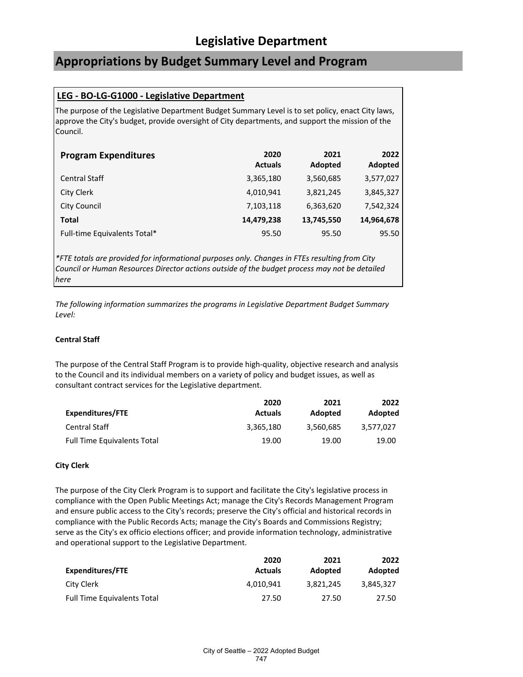# **Appropriations by Budget Summary Level and Program**

### **LEG - BO-LG-G1000 - Legislative Department**

The purpose of the Legislative Department Budget Summary Level is to set policy, enact City laws, approve the City's budget, provide oversight of City departments, and support the mission of the Council.

| <b>Program Expenditures</b>  | 2020<br><b>Actuals</b> | 2021<br>Adopted | 2022<br>Adopted |
|------------------------------|------------------------|-----------------|-----------------|
| <b>Central Staff</b>         | 3,365,180              | 3,560,685       | 3,577,027       |
| City Clerk                   | 4,010,941              | 3,821,245       | 3,845,327       |
| City Council                 | 7,103,118              | 6,363,620       | 7,542,324       |
| <b>Total</b>                 | 14,479,238             | 13,745,550      | 14,964,678      |
| Full-time Equivalents Total* | 95.50                  | 95.50           | 95.50           |

*\*FTE totals are provided for informational purposes only. Changes in FTEs resulting from City Council or Human Resources Director actions outside of the budget process may not be detailed here*

*The following information summarizes the programs in Legislative Department Budget Summary Level:*

### **Central Staff**

The purpose of the Central Staff Program is to provide high-quality, objective research and analysis to the Council and its individual members on a variety of policy and budget issues, as well as consultant contract services for the Legislative department.

|                                    | 2020           | 2021      | 2022      |
|------------------------------------|----------------|-----------|-----------|
| <b>Expenditures/FTE</b>            | <b>Actuals</b> | Adopted   | Adopted   |
| <b>Central Staff</b>               | 3,365,180      | 3,560,685 | 3.577.027 |
| <b>Full Time Equivalents Total</b> | 19.00          | 19.00     | 19.00     |

### **City Clerk**

The purpose of the City Clerk Program is to support and facilitate the City's legislative process in compliance with the Open Public Meetings Act; manage the City's Records Management Program and ensure public access to the City's records; preserve the City's official and historical records in compliance with the Public Records Acts; manage the City's Boards and Commissions Registry; serve as the City's ex officio elections officer; and provide information technology, administrative and operational support to the Legislative Department.

|                                    | 2020           | 2021      | 2022      |
|------------------------------------|----------------|-----------|-----------|
| <b>Expenditures/FTE</b>            | <b>Actuals</b> | Adopted   | Adopted   |
| City Clerk                         | 4.010.941      | 3.821.245 | 3.845.327 |
| <b>Full Time Equivalents Total</b> | 27.50          | 27.50     | 27.50     |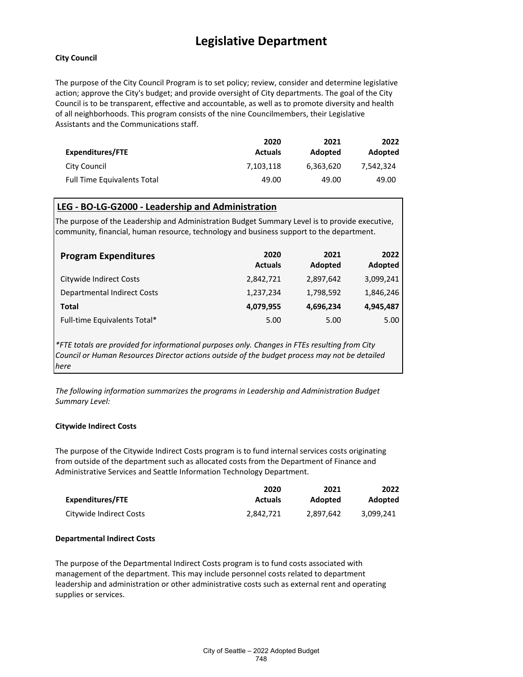### **City Council**

The purpose of the City Council Program is to set policy; review, consider and determine legislative action; approve the City's budget; and provide oversight of City departments. The goal of the City Council is to be transparent, effective and accountable, as well as to promote diversity and health of all neighborhoods. This program consists of the nine Councilmembers, their Legislative Assistants and the Communications staff.

|                                    | 2020           | 2021           | 2022      |
|------------------------------------|----------------|----------------|-----------|
| <b>Expenditures/FTE</b>            | <b>Actuals</b> | <b>Adopted</b> | Adopted   |
| City Council                       | 7.103.118      | 6,363,620      | 7.542.324 |
| <b>Full Time Equivalents Total</b> | 49.00          | 49.00          | 49.00     |

### **LEG - BO-LG-G2000 - Leadership and Administration**

The purpose of the Leadership and Administration Budget Summary Level is to provide executive, community, financial, human resource, technology and business support to the department.

| <b>Program Expenditures</b>        | 2020<br><b>Actuals</b> | 2021<br>Adopted | 2022<br>Adopted |
|------------------------------------|------------------------|-----------------|-----------------|
| Citywide Indirect Costs            | 2,842,721              | 2,897,642       | 3,099,241       |
| <b>Departmental Indirect Costs</b> | 1,237,234              | 1,798,592       | 1,846,246       |
| Total                              | 4,079,955              | 4,696,234       | 4.945.487       |
| Full-time Equivalents Total*       | 5.00                   | 5.00            | 5.00            |

*\*FTE totals are provided for informational purposes only. Changes in FTEs resulting from City Council or Human Resources Director actions outside of the budget process may not be detailed here*

*The following information summarizes the programs in Leadership and Administration Budget Summary Level:*

### **Citywide Indirect Costs**

The purpose of the Citywide Indirect Costs program is to fund internal services costs originating from outside of the department such as allocated costs from the Department of Finance and Administrative Services and Seattle Information Technology Department.

|                         | 2020           | 2021      | 2022      |
|-------------------------|----------------|-----------|-----------|
| Expenditures/FTE        | <b>Actuals</b> | Adopted   | Adopted   |
| Citywide Indirect Costs | 2.842.721      | 2.897.642 | 3.099.241 |

### **Departmental Indirect Costs**

The purpose of the Departmental Indirect Costs program is to fund costs associated with management of the department. This may include personnel costs related to department leadership and administration or other administrative costs such as external rent and operating supplies or services.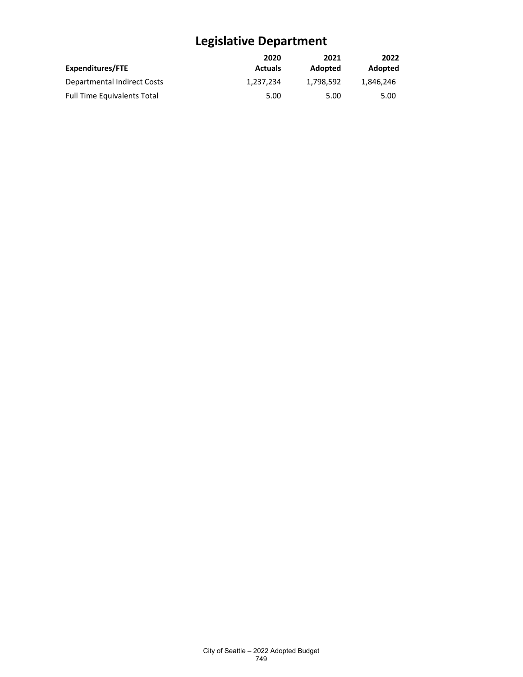|                                    | 2020           | 2021      | 2022      |
|------------------------------------|----------------|-----------|-----------|
| Expenditures/FTE                   | <b>Actuals</b> | Adopted   | Adopted   |
| Departmental Indirect Costs        | 1.237.234      | 1.798.592 | 1.846.246 |
| <b>Full Time Equivalents Total</b> | 5.00           | 5.00      | 5.00      |